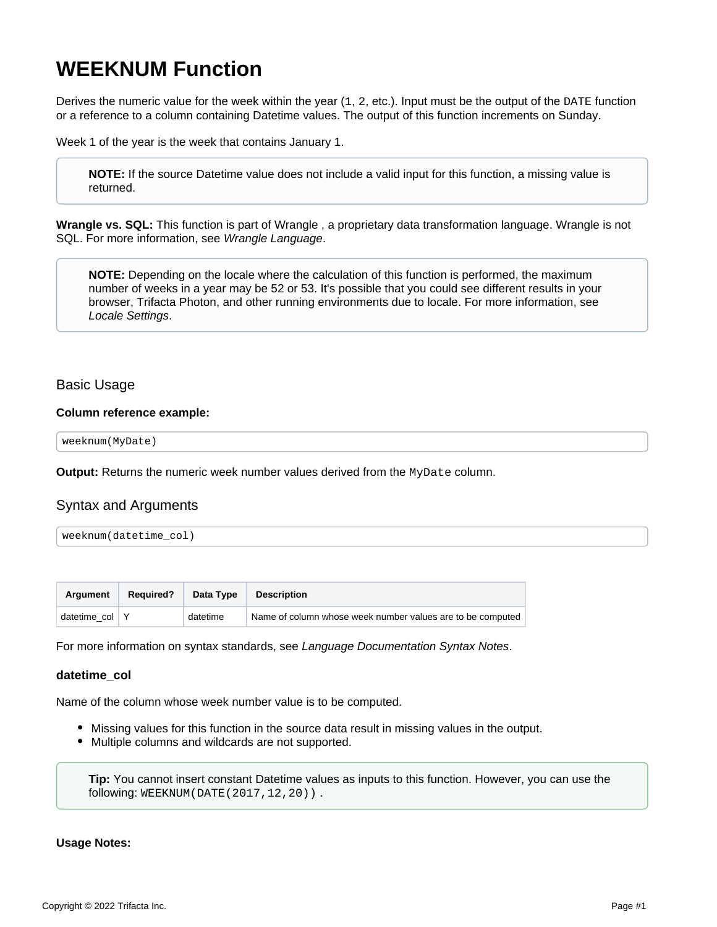# <span id="page-0-0"></span>**WEEKNUM Function**

Derives the numeric value for the week within the year  $(1, 2, 2)$ . Input must be the output of the DATE function or a reference to a column containing Datetime values. The output of this function increments on Sunday.

Week 1 of the year is the week that contains January 1.

**NOTE:** If the source Datetime value does not include a valid input for this function, a missing value is returned.

**Wrangle vs. SQL:** This function is part of Wrangle , a proprietary data transformation language. Wrangle is not SQL. For more information, see [Wrangle Language](https://docs.trifacta.com/display/r087/Wrangle+Language).

**NOTE:** Depending on the locale where the calculation of this function is performed, the maximum number of weeks in a year may be 52 or 53. It's possible that you could see different results in your browser, Trifacta Photon, and other running environments due to locale. For more information, see [Locale Settings](https://docs.trifacta.com/display/r087/Locale+Settings).

## Basic Usage

#### **Column reference example:**

weeknum(MyDate)

**Output:** Returns the numeric week number values derived from the MyDate column.

# Syntax and Arguments

| weeknum(datetime_col) |  |
|-----------------------|--|
|-----------------------|--|

| <b>Araument</b>    | <b>Required?</b> | Data Type | Description                                                |
|--------------------|------------------|-----------|------------------------------------------------------------|
| datetime $col$   Y |                  | datetime  | Name of column whose week number values are to be computed |

For more information on syntax standards, see [Language Documentation Syntax Notes](https://docs.trifacta.com/display/r087/Language+Documentation+Syntax+Notes).

## **datetime\_col**

Name of the column whose week number value is to be computed.

- Missing values for this function in the source data result in missing values in the output.
- Multiple columns and wildcards are not supported.

**Tip:** You cannot insert constant Datetime values as inputs to this function. However, you can use the following: WEEKNUM(DATE(2017,12,20)) .

#### **Usage Notes:**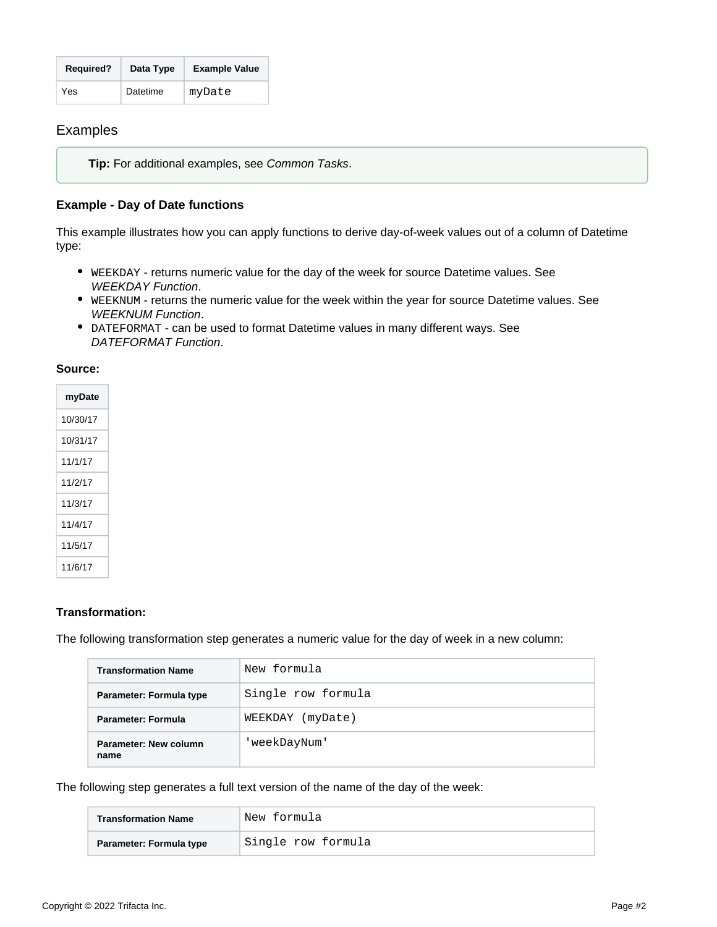| <b>Required?</b> | Data Type | <b>Example Value</b> |
|------------------|-----------|----------------------|
| Yes              | Datetime  | myDate               |

# Examples

**Tip:** For additional examples, see [Common Tasks](https://docs.trifacta.com/display/r087/Common+Tasks).

## **Example - Day of Date functions**

This example illustrates how you can apply functions to derive day-of-week values out of a column of Datetime type:

- WEEKDAY returns numeric value for the day of the week for source Datetime values. See [WEEKDAY Function](https://docs.trifacta.com/display/r087/WEEKDAY+Function).
- WEEKNUM returns the numeric value for the week within the year for source Datetime values. See [WEEKNUM Function](#page-0-0).
- DATEFORMAT can be used to format Datetime values in many different ways. See [DATEFORMAT Function](https://docs.trifacta.com/display/r087/DATEFORMAT+Function).

## **Source:**

| myDate   |
|----------|
| 10/30/17 |
| 10/31/17 |
| 11/1/17  |
| 11/2/17  |
| 11/3/17  |
| 11/4/17  |
| 11/5/17  |
| 11/6/17  |

## **Transformation:**

The following transformation step generates a numeric value for the day of week in a new column:

| <b>Transformation Name</b>    | New formula         |  |  |
|-------------------------------|---------------------|--|--|
| Parameter: Formula type       | Single row formula  |  |  |
| Parameter: Formula            | WEEKDAY<br>(myDate) |  |  |
| Parameter: New column<br>name | 'weekDayNum'        |  |  |

The following step generates a full text version of the name of the day of the week:

| <b>Transformation Name</b> | New formula        |  |
|----------------------------|--------------------|--|
| Parameter: Formula type    | Single row formula |  |